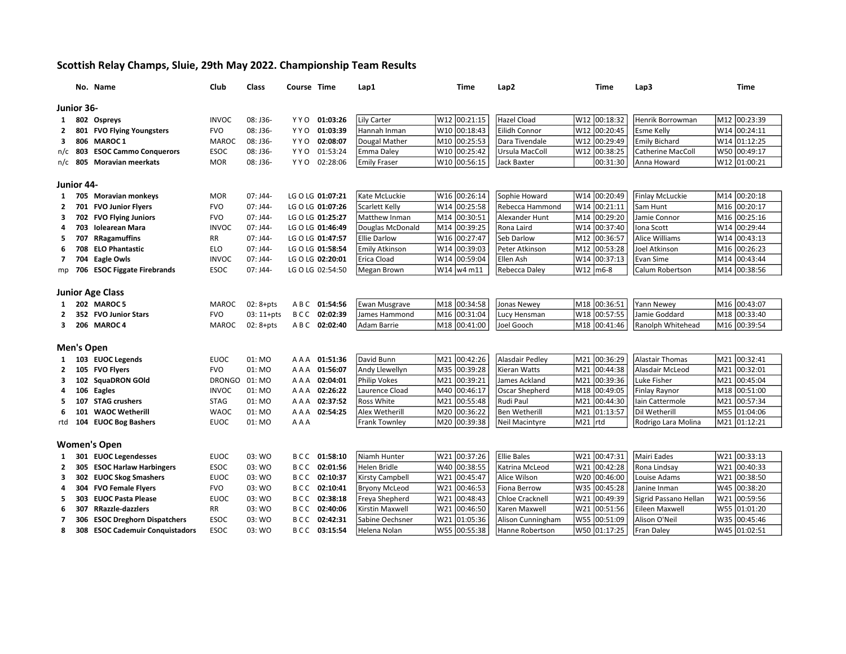## Scottish Relay Champs, Sluie, 29th May 2022. Championship Team Results

|                         |            | No. Name                        | <b>Club</b>   | Class        | Course Time |                  | Lap1                   |     | <b>Time</b>  | Lap2                   | Time                   | Lap3                     | <b>Time</b>              |
|-------------------------|------------|---------------------------------|---------------|--------------|-------------|------------------|------------------------|-----|--------------|------------------------|------------------------|--------------------------|--------------------------|
| Junior 36-              |            |                                 |               |              |             |                  |                        |     |              |                        |                        |                          |                          |
|                         |            |                                 |               |              |             |                  |                        |     | W12 00:21:15 | Hazel Cload            | W12 00:18:32           | Henrik Borrowman         | M12 00:23:39             |
| 1                       |            | 802 Ospreys                     | <b>INVOC</b>  | 08: J36-     | Y Y O       | 01:03:26         | Lily Carter            |     |              |                        |                        |                          |                          |
| 2                       |            | 801 FVO Flying Youngsters       | <b>FVO</b>    | 08: J36-     |             | YYO 01:03:39     | Hannah Inman           |     | W10 00:18:43 | Eilidh Connor          | 00:20:45<br>W12        | <b>Esme Kelly</b>        | W14 00:24:11             |
| 3                       |            | 806 MAROC 1                     | <b>MAROC</b>  | 08: J36-     | YYO         | 02:08:07         | Dougal Mather          |     | M10 00:25:53 | Dara Tivendale         | 00:29:49<br>W12        | <b>Emily Bichard</b>     | W14 01:12:25             |
|                         |            | n/c 803 ESOC Cammo Conquerors   | <b>ESOC</b>   | 08: J36-     |             | YYO 01:53:24     | Emma Daley             |     | W10 00:25:42 | Ursula MacColl         | W12<br>00:38:25        | <b>Catherine MacColl</b> | W50 00:49:17             |
|                         |            | n/c 805 Moravian meerkats       | <b>MOR</b>    | 08: J36-     |             | YYO 02:28:06     | <b>Emily Fraser</b>    |     | W10 00:56:15 | Jack Baxter            | 00:31:30               | Anna Howard              | W12 01:00:21             |
| Junior 44-              |            |                                 |               |              |             |                  |                        |     |              |                        |                        |                          |                          |
| 1                       |            | 705 Moravian monkeys            | <b>MOR</b>    | $07:$ J44-   |             | LG O LG 01:07:21 | Kate McLuckie          |     | W16 00:26:14 | Sophie Howard          | 00:20:49<br>lw14       | Finlay McLuckie          | M14 00:20:18             |
| 2                       |            | 701 FVO Junior Flyers           | <b>FVO</b>    | 07: J44-     |             | LG O LG 01:07:26 | Scarlett Kelly         | W14 | 00:25:58     | Rebecca Hammond        | W14<br>00:21:11        | Sam Hunt                 | M16 00:20:17             |
| з                       |            | 702 FVO Flying Juniors          | <b>FVO</b>    | $07:$ J44-   |             | LG O LG 01:25:27 | Matthew Inman          |     | M14 00:30:51 | Alexander Hunt         | M14<br>00:29:20        | Jamie Connor             | M <sub>16</sub> 00:25:16 |
| 4                       |            | 703 Iolearean Mara              | <b>INVOC</b>  | $07:J44-$    |             | LG O LG 01:46:49 | Douglas McDonald       |     | M14 00:39:25 | Rona Laird             | 00:37:40<br>W14        | Iona Scott               | W14 00:29:44             |
| 5                       |            | 707 RRagamuffins                | RR            | $07:$ J44-   |             | LG O LG 01:47:57 | <b>Ellie Darlow</b>    |     | W16 00:27:47 | Seb Darlow             | 00:36:57<br>M12        | Alice Williams           | W14 00:43:13             |
| 6                       |            | 708 ELO Phantastic              | <b>ELO</b>    | $07:$ J44-   |             | LG O LG 01:58:54 | Emily Atkinson         |     | W14 00:39:03 | Peter Atkinson         | 00:53:28<br>M12        | Joel Atkinson            | M <sub>16</sub> 00:26:23 |
| $\overline{7}$          |            | 704 Eagle Owls                  | <b>INVOC</b>  | 07: J44-     |             | LG O LG 02:20:01 | Erica Cload            |     | W14 00:59:04 | Ellen Ash              | 00:37:13<br>W14        | Evan Sime                | M14<br>00:43:44          |
|                         |            | mp 706 ESOC Figgate Firebrands  | <b>ESOC</b>   | 07: J44-     |             | LG O LG 02:54:50 | Megan Brown            |     | W14 w4 m11   | Rebecca Daley          | $W12$ m6-8             | Calum Robertson          | M14 00:38:56             |
|                         |            |                                 |               |              |             |                  |                        |     |              |                        |                        |                          |                          |
|                         |            | <b>Junior Age Class</b>         |               |              |             |                  |                        |     |              |                        |                        |                          |                          |
|                         |            | 202 MAROC 5                     | MAROC         | $02:8 + pts$ |             | ABC 01:54:56     | Ewan Musgrave          |     | M18 00:34:58 | <b>Jonas Newey</b>     | M18 00:36:51           | Yann Newey               | M16 00:43:07             |
| 2                       |            | 352 FVO Junior Stars            | <b>FVO</b>    | $03:11+pts$  |             | BCC 02:02:39     | James Hammond          |     | M16 00:31:04 | Lucy Hensman           | W18 00:57:55           | Jamie Goddard            | M18 00:33:40             |
| 3                       |            | 206 MAROC 4                     | <b>MAROC</b>  | $02:8+pts$   |             | ABC 02:02:40     | Adam Barrie            |     | M18 00:41:00 | Joel Gooch             | M18 00:41:46           | Ranolph Whitehead        | M <sub>16</sub> 00:39:54 |
|                         |            |                                 |               |              |             |                  |                        |     |              |                        |                        |                          |                          |
|                         | Men's Open |                                 |               |              |             |                  |                        |     |              |                        |                        |                          |                          |
| 1                       |            | 103 EUOC Legends                | <b>EUOC</b>   | 01:MO        | A A A       | 01:51:36         | David Bunn             |     | M21 00:42:26 | Alasdair Pedley        | 00:36:29<br>M21        | <b>Alastair Thomas</b>   | M21 00:32:41             |
| 2                       |            | 105 FVO Flyers                  | <b>FVO</b>    | 01: MO       |             | AAA 01:56:07     | Andy Llewellyn         |     | M35 00:39:28 | Kieran Watts           | M21<br>00:44:38        | Alasdair McLeod          | M21 00:32:01             |
| 3                       |            | 102 SquaDRON GOld               | <b>DRONGO</b> | 01: MO       |             | AAA 02:04:01     | <b>Philip Vokes</b>    |     | M21 00:39:21 | James Ackland          | M21<br>00:39:36        | Luke Fisher              | M21<br>00:45:04          |
| 4                       |            | 106 Eagles                      | <b>INVOC</b>  | 01: MO       | AAA         | 02:26:22         | Laurence Cload         |     | M40 00:46:17 | Oscar Shepherd         | 00:49:05<br>M18        | Finlay Raynor            | M18 00:51:00             |
| 5                       |            | 107 STAG crushers               | <b>STAG</b>   | 01: MO       | AAA         | 02:37:52         | Ross White             |     | M21 00:55:48 | Rudi Paul              | 00:44:30<br>M21        | Iain Cattermole          | M21 00:57:34             |
| 6                       |            | 101 WAOC Wetherill              | <b>WAOC</b>   | 01: MO       |             | AAA 02:54:25     | Alex Wetherill         | M20 | 00:36:22     | <b>Ben Wetherill</b>   | M21<br>01:13:57        | Dil Wetherill            | M55 01:04:06             |
| rtd                     |            | 104 EUOC Bog Bashers            | <b>EUOC</b>   | 01: MO       | AAA         |                  | <b>Frank Townley</b>   |     | M20 00:39:38 | <b>Neil Macintyre</b>  | M21<br>rtd             | Rodrigo Lara Molina      | M21 01:12:21             |
|                         |            |                                 |               |              |             |                  |                        |     |              |                        |                        |                          |                          |
|                         |            | <b>Women's Open</b>             |               |              |             |                  |                        |     |              |                        |                        |                          |                          |
| -1                      |            | 301 EUOC Legendesses            | <b>EUOC</b>   | 03: WO       | BCC         | 01:58:10         | Niamh Hunter           |     | W21 00:37:26 | <b>Ellie Bales</b>     | 00:47:31<br>W21        | <b>Mairi Eades</b>       | W21 00:33:13             |
| $\mathbf{2}$            |            | 305 ESOC Harlaw Harbingers      | <b>ESOC</b>   | 03: WO       | BCC         | 02:01:56         | Helen Bridle           |     | W40 00:38:55 | Katrina McLeod         | 00:42:28<br>lw21       | Rona Lindsay             | W21<br>00:40:33          |
| 3                       |            | 302 EUOC Skog Smashers          | <b>EUOC</b>   | 03: WO       |             | BCC 02:10:37     | <b>Kirsty Campbell</b> | W21 | 00:45:47     | Alice Wilson           | W20<br>00:46:00        | Louise Adams             | W21 00:38:50             |
| 4                       |            | 304 FVO Female Flyers           | <b>FVO</b>    | 03: WO       | BCC         | 02:10:41         | <b>Bryony McLeod</b>   | W21 | 00:46:53     | <b>Fiona Berrow</b>    | 00:45:28<br>W35        | Janine Inman             | W45 00:38:20             |
| 5                       |            | 303 EUOC Pasta Please           | <b>EUOC</b>   | 03: WO       | B C C       | 02:38:18         | Freya Shepherd         |     | W21 00:48:43 | <b>Chloe Cracknell</b> | 00:49:39<br>W21        | Sigrid Passano Hellan    | W21 00:59:56             |
| 6                       |            | 307 RRazzle-dazzlers            | RR            | 03: WO       | BCC         | 02:40:06         | Kirstin Maxwell        | W21 | 00:46:50     | Karen Maxwell          | 00:51:56<br>W21        | Eileen Maxwell           | W55 01:01:20             |
| $\overline{\mathbf{z}}$ |            | 306 ESOC Dreghorn Dispatchers   | <b>ESOC</b>   | 03: WO       | BCC         | 02:42:31         | Sabine Oechsner        | W21 | 01:05:36     | Alison Cunningham      | <b>W55</b><br>00:51:09 | Alison O'Neil            | W35<br>00:45:46          |
| 8                       |            | 308 ESOC Cademuir Conquistadors | <b>ESOC</b>   | 03: WO       | BCC         | 03:15:54         | Helena Nolan           |     | W55 00:55:38 | Hanne Robertson        | W50 01:17:25           | Fran Daley               | W45 01:02:51             |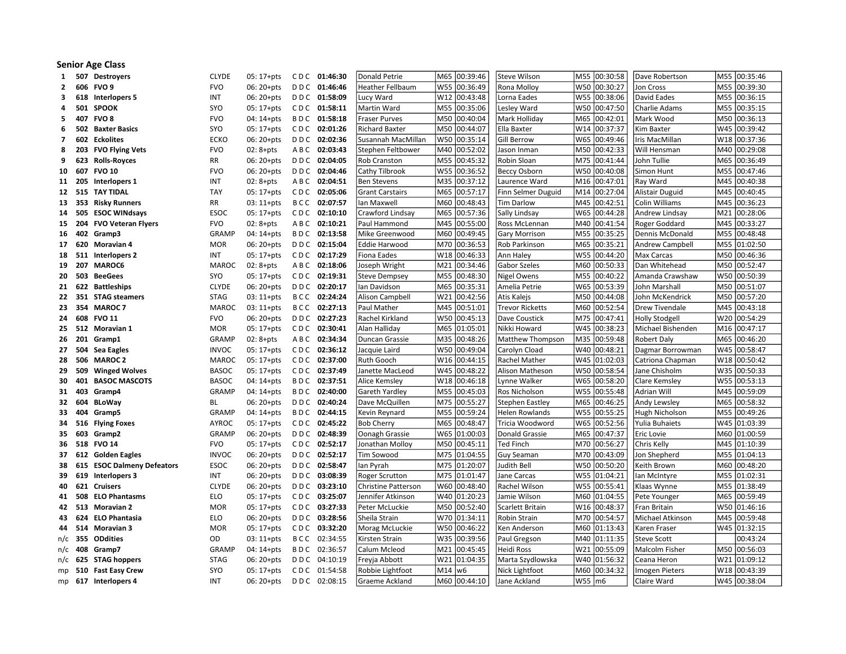## Senior Age Class

| 1              | 507    | <b>Destroyers</b>                               | <b>CLYDE</b>               | $05:17+pts$              | CDC 01:46:30                 | Donald Petrie              | M65        | 00:39:46             | <b>Steve Wilson</b>       | M55        | 00:30:58             | Dave Robertson              |     | M55 00:35:46             |
|----------------|--------|-------------------------------------------------|----------------------------|--------------------------|------------------------------|----------------------------|------------|----------------------|---------------------------|------------|----------------------|-----------------------------|-----|--------------------------|
| $\mathbf{2}$   |        | 606 FVO 9                                       | <b>FVO</b>                 | 06: 20+pts               | DDC 01:46:46                 | <b>Heather Fellbaum</b>    |            | W55 00:36:49         | Rona Molloy               | W50        | 00:30:27             | Jon Cross                   |     | M55 00:39:30             |
| 3              |        | 618 Interlopers 5                               | INT                        | $06:20+pts$              | DDC 01:58:09                 | Lucy Ward                  |            | W12 00:43:48         | Lorna Eades               |            | W55 00:38:06         | David Eades                 |     | M55 00:36:15             |
| 4              |        | <b>501 SPOOK</b>                                | SYO                        | $05:17+pts$              | CDC 01:58:11                 | Martin Ward                |            | M55 00:35:06         | Lesley Ward               |            | W50 00:47:50         | Charlie Adams               |     | M55 00:35:15             |
| 5              |        | 407 FVO 8                                       | <b>FVO</b>                 | 04: 14+pts               | BDC 01:58:18                 | Fraser Purves              |            | M50 00:40:04         | Mark Holliday             | M65        | 00:42:01             | Mark Wood                   |     | M50 00:36:13             |
| 6              |        | <b>502 Baxter Basics</b>                        | SYO                        | 05: 17+pts               | CDC 02:01:26                 | <b>Richard Baxter</b>      | M50        | 00:44:07             | Ella Baxter               | W14        | 00:37:37             | Kim Baxter                  |     | W45 00:39:42             |
| $\overline{7}$ |        | 602 Eckolites                                   | <b>ECKO</b>                | 06: 20+pts               | DDC 02:02:36                 | Susannah MacMillan         | W50        | 00:35:14             | <b>Gill Berrow</b>        | W65        | 00:49:46             | Iris MacMillan              |     | W18 00:37:36             |
| 8              |        | 203 FVO Flying Vets                             | <b>FVO</b>                 | $02:8 + pts$             | ABC 02:03:43                 | Stephen Feltbower          | M40        | 00:52:02             | lason Inman               | M50        | 00:42:33             | Will Hensman                | M40 | 00:29:08                 |
| 9              |        | 623 Rolls-Royces                                | RR                         | 06: 20+pts               | DDC 02:04:05                 | Rob Cranston               | M55        | 00:45:32             | Robin Sloan               | M75        | 00:41:44             | John Tullie                 | M65 | 00:36:49                 |
| 10             | 607    | <b>FVO 10</b>                                   | <b>FVO</b>                 | 06: 20+pts               | DDC 02:04:46                 | Cathy Tilbrook             | <b>W55</b> | 00:36:52             | <b>Beccy Osborn</b>       | W50        | 00:40:08             | Simon Hunt                  |     | M55 00:47:46             |
| 11             | 205    | Interlopers 1                                   | INT                        | $02:8 + pts$             | ABC 02:04:51                 | <b>Ben Stevens</b>         | M35        | 00:37:12             | Laurence Ward             | M16        | 00:47:01             | Ray Ward                    |     | M45 00:40:38             |
| 12             | 515    | <b>TAY TIDAL</b>                                | <b>TAY</b>                 | $05:17+pts$              | CDC 02:05:06                 | <b>Grant Carstairs</b>     |            | M65 00:57:17         | Finn Selmer Duguid        | M14        | 00:27:04             | Alistair Duguid             |     | M45 00:40:45             |
| 13             |        | 353 Risky Runners                               | <b>RR</b>                  | $03:11+pts$              | BCC 02:07:57                 | Ian Maxwell                | M60        | 00:48:43             | <b>Tim Darlow</b>         | M45        | 00:42:51             | Colin Williams              | M45 | 00:36:23                 |
| 14             |        | 505 ESOC WINdsays                               | <b>ESOC</b>                | $05:17+pts$              | CDC 02:10:10                 | Crawford Lindsay           | M65        | 00:57:36             | Sally Lindsay             | W65        | 00:44:28             | Andrew Lindsay              |     | M21 00:28:06             |
| 15             | 204    | <b>FVO Veteran Flyers</b>                       | <b>FVO</b>                 | $02:8+pts$               | ABC 02:10:21                 | Paul Hammond               | M45        | 00:55:00             | Ross McLennan             | M40        | 00:41:54             | Roger Goddard               |     | M45 00:33:27             |
| 16             |        | 402 Gramp3                                      | <b>GRAMP</b>               | $04:14+pts$              | BDC 02:13:58                 | Mike Greenwood             |            | M60 00:49:45         | Gary Morrison             | M55        | 00:35:25             | Dennis McDonald             |     | M55 00:48:48             |
| 17             |        | 620 Moravian 4                                  | <b>MOR</b>                 | 06: 20+pts               | DDC 02:15:04                 | <b>Eddie Harwood</b>       | M70        | 00:36:53             | Rob Parkinson             | M65        | 00:35:21             | <b>Andrew Campbell</b>      |     | M55 01:02:50             |
| 18             |        | 511 Interlopers 2                               | <b>INT</b>                 | $05:17+pts$              | CDC 02:17:29                 | Fiona Eades                | W18        | 00:46:33             | Ann Haley                 | <b>W55</b> | 00:44:20             | Max Carcas                  |     | M50 00:46:36             |
| 19             |        | 207 MAROC6                                      | MAROC                      | $02:8 + pts$             | ABC 02:18:06                 | Joseph Wright              | M21        | 00:34:46             | Gabor Szeles              | M60        | 00:50:33             | Dan Whitehead               |     | M50 00:52:47             |
| 20             | 503    | <b>BeeGees</b>                                  | SYO                        | 05: 17+pts               | CDC 02:19:31                 | <b>Steve Dempsey</b>       |            | M55 00:48:30         | Nigel Owens               | M55        | 00:40:22             | Amanda Crawshaw             |     | W50 00:50:39             |
|                |        | 21 622 Battleships                              | <b>CLYDE</b>               | 06: 20+pts               | DDC 02:20:17                 | Ian Davidson               | M65        | 00:35:31             | Amelia Petrie             | W65        | 00:53:39             | John Marshall               |     | M50 00:51:07             |
|                |        | 22 351 STAG steamers                            | <b>STAG</b>                | $03:11+pts$              | BCC 02:24:24                 | <b>Alison Campbell</b>     |            | W21 00:42:56         | Atis Kalejs               |            | M50 00:44:08         | John McKendrick             |     | M50 00:57:20             |
|                |        | 23 354 MAROC 7                                  | <b>MAROC</b>               | $03:11+pts$              | BCC 02:27:13                 | Paul Mather                | M45        | 00:51:01             | <b>Trevor Ricketts</b>    | M60        | 00:52:54             | Drew Tivendale              |     | M45 00:43:18             |
| 24             |        | 608 FVO 11                                      | <b>FVO</b>                 | 06: 20+pts               | DDC 02:27:23                 | Rachel Kirkland            | W50        | 00:45:13             | Dave Coustick             | M75        | 00:47:41             | <b>Holly Stodgell</b>       |     | W20 00:54:29             |
| 25             |        | 512 Moravian 1                                  | <b>MOR</b>                 | $05:17+pts$              | CDC 02:30:41                 | Alan Halliday              | M65        | 01:05:01             | Nikki Howard              | W45        | 00:38:23             | Michael Bishenden           | M16 | 00:47:17                 |
| 26             |        | 201 Gramp1                                      | <b>GRAMP</b>               | $02:8 + pts$             | ABC 02:34:34                 | Duncan Grassie             | M35        | 00:48:26             | Matthew Thompson          | M35        | 00:59:48             | <b>Robert Daly</b>          | M65 | 00:46:20                 |
| 27             |        | 504 Sea Eagles                                  | <b>INVOC</b>               | $05:17+pts$              | CDC 02:36:12                 | Jacquie Laird              | W50        | 00:49:04             | Carolyn Cload             | W40        | 00:48:21             | Dagmar Borrowman            | W45 | 00:58:47                 |
| 28             | 506    | <b>MAROC 2</b>                                  | <b>MAROC</b>               | $05:17+pts$              | CDC 02:37:00                 | Ruth Gooch                 |            | W16 00:44:15         | Rachel Mather             | W45        | 01:02:03             | Catriona Chapman            |     | W18 00:50:42             |
| 29             | 509    | <b>Winged Wolves</b>                            | <b>BASOC</b>               | $05:17+pts$              | CDC 02:37:49                 | Janette MacLeod            |            | W45 00:48:22         | Alison Matheson           | <b>W50</b> | 00:58:54             | Jane Chisholm               |     | W35 00:50:33             |
| 30             | 401    | <b>BASOC MASCOTS</b>                            | <b>BASOC</b>               | 04: 14+pts               | BDC 02:37:51                 | Alice Kemsley              |            | W18 00:46:18         | Lynne Walker              | W65        | 00:58:20             | Clare Kemsley               |     | W55 00:53:13             |
| 31             | 403    | Gramp4                                          | <b>GRAMP</b>               | 04: 14+pts               | BDC 02:40:00                 | Gareth Yardley             |            | M55 00:45:03         | <b>Ros Nicholson</b>      | <b>W55</b> | 00:55:48             | Adrian Will                 |     | M45 00:59:09             |
|                | 32 604 | <b>BLoWay</b>                                   | <b>BL</b>                  | 06: 20+pts               | DDC 02:40:24                 | Dave McQuillen             |            | M75 00:55:27         | Stephen Eastley           | M65        | 00:46:25             | Andy Lewsley                |     | M65 00:58:32             |
| 33             | 404    | Gramp5                                          | <b>GRAMP</b>               | $04:14+pts$              | BDC 02:44:15                 | Kevin Reynard              | M55        | 00:59:24             | <b>Helen Rowlands</b>     | <b>W55</b> | 00:55:25             | Hugh Nicholson              |     | M55 00:49:26             |
| 34             |        | 516 Flying Foxes                                | <b>AYROC</b>               | 05: 17+pts               | CDC 02:45:22                 | <b>Bob Cherry</b>          | M65        | 00:48:47             | Tricia Woodword           | W65        | 00:52:56             | Yulia Buhaiets              |     | W45 01:03:39             |
| 35             | 603    | Gramp2                                          | <b>GRAMP</b>               | $06:20+pts$              | DDC 02:48:39                 | Oonagh Grassie             | W65        | 01:00:03             | <b>Donald Grassie</b>     | M65        | 00:47:37             | Eric Lovie                  | M45 | M60 01:00:59             |
| 36             |        | 518 FVO 14                                      | <b>FVO</b><br><b>INVOC</b> | 05: 17+pts               | CDC 02:52:17<br>DDC 02:52:17 | Jonathan Molloy            | M50<br>M75 | 00:45:11<br>01:04:55 | <b>Ted Finch</b>          | M70<br>M70 | 00:56:27<br>00:43:09 | Chris Kelly<br>Jon Shepherd |     | 01:10:39<br>M55 01:04:13 |
| 37<br>38       |        | 612 Golden Eagles<br>615 ESOC Dalmeny Defeators | <b>ESOC</b>                | 06: 20+pts<br>06: 20+pts | DDC 02:58:47                 | Tim Sowood<br>lan Pyrah    | M75        | 01:20:07             | Guy Seaman<br>Judith Bell | <b>W50</b> | 00:50:20             | Keith Brown                 |     | M60 00:48:20             |
| 39             |        | 619 Interlopers 3                               | INT                        | 06: 20+pts               | DDC 03:08:39                 | <b>Roger Scrutton</b>      |            | M75 01:01:47         | lane Carcas               |            | W55 01:04:21         | lan McIntyre                |     | M55 01:02:31             |
| 40             |        | 621 Cruisers                                    | <b>CLYDE</b>               | 06: 20+pts               | DDC 03:23:10                 | <b>Christine Patterson</b> |            | W60 00:48:40         | Rachel Wilson             | <b>W55</b> | 00:55:41             | Klaas Wynne                 |     | M55 01:38:49             |
|                |        | 41 508 ELO Phantasms                            | <b>ELO</b>                 | 05: 17+pts               | CDC 03:25:07                 | Jennifer Atkinson          |            | W40 01:20:23         | Jamie Wilson              |            | M60 01:04:55         | Pete Younger                |     | M65 00:59:49             |
|                |        | 42 513 Moravian 2                               | <b>MOR</b>                 | $05:17+pts$              | CDC 03:27:33                 | Peter McLuckie             |            | M50 00:52:40         | Scarlett Britain          | W16        | 00:48:37             | Fran Britain                |     | W50 01:46:16             |
| 43             |        | 624 ELO Phantasia                               | <b>ELO</b>                 | 06: 20+pts               | DDC 03:28:56                 | Sheila Strain              |            | W70 01:34:11         | Robin Strain              | M70        | 00:54:57             | Michael Atkinson            |     | M45 00:59:48             |
| 44             |        | 514 Moravian 3                                  | <b>MOR</b>                 | $05:17+pts$              | CDC 03:32:20                 | Morag McLuckie             | W50        | 00:46:22             | Ken Anderson              | M60        | 01:13:43             | Karen Fraser                |     | W45 01:32:15             |
| $n/c$ 355      |        | <b>ODdities</b>                                 | OD                         | $03:11+pts$              | BCC 02:34:55                 | Kirsten Strain             | W35        | 00:39:56             | Paul Gregson              | M40        | 01:11:35             | Steve Scott                 |     | 00:43:24                 |
| $n/c$ 408      |        | Gramp7                                          | <b>GRAMP</b>               | 04: 14+pts               | BDC 02:36:57                 | Calum Mcleod               | M21        | 00:45:45             | Heidi Ross                | W21        | 00:55:09             | Malcolm Fisher              |     | M50 00:56:03             |
|                |        | n/c 625 STAG hoppers                            | <b>STAG</b>                | 06: 20+pts               | DDC 04:10:19                 | Freyja Abbott              | W21        | 01:04:35             | Marta Szydlowska          | W40        | 01:56:32             | Ceana Heron                 |     | W21 01:09:12             |
|                |        | mp 510 Fast Easy Crew                           | SYO                        | 05: 17+pts               | CDC 01:54:58                 | Robbie Lightfoot           | M14        | w <sub>6</sub>       | Nick Lightfoot            | M60        | 00:34:32             | <b>Imogen Pieters</b>       |     | W18 00:43:39             |
|                |        | mp 617 Interlopers 4                            | INT                        | 06: 20+pts               | DDC 02:08:15                 | Graeme Ackland             |            | M60 l00:44:10        | Jane Ackland              | <b>W55</b> | lm6                  | Claire Ward                 |     | W45 00:38:04             |